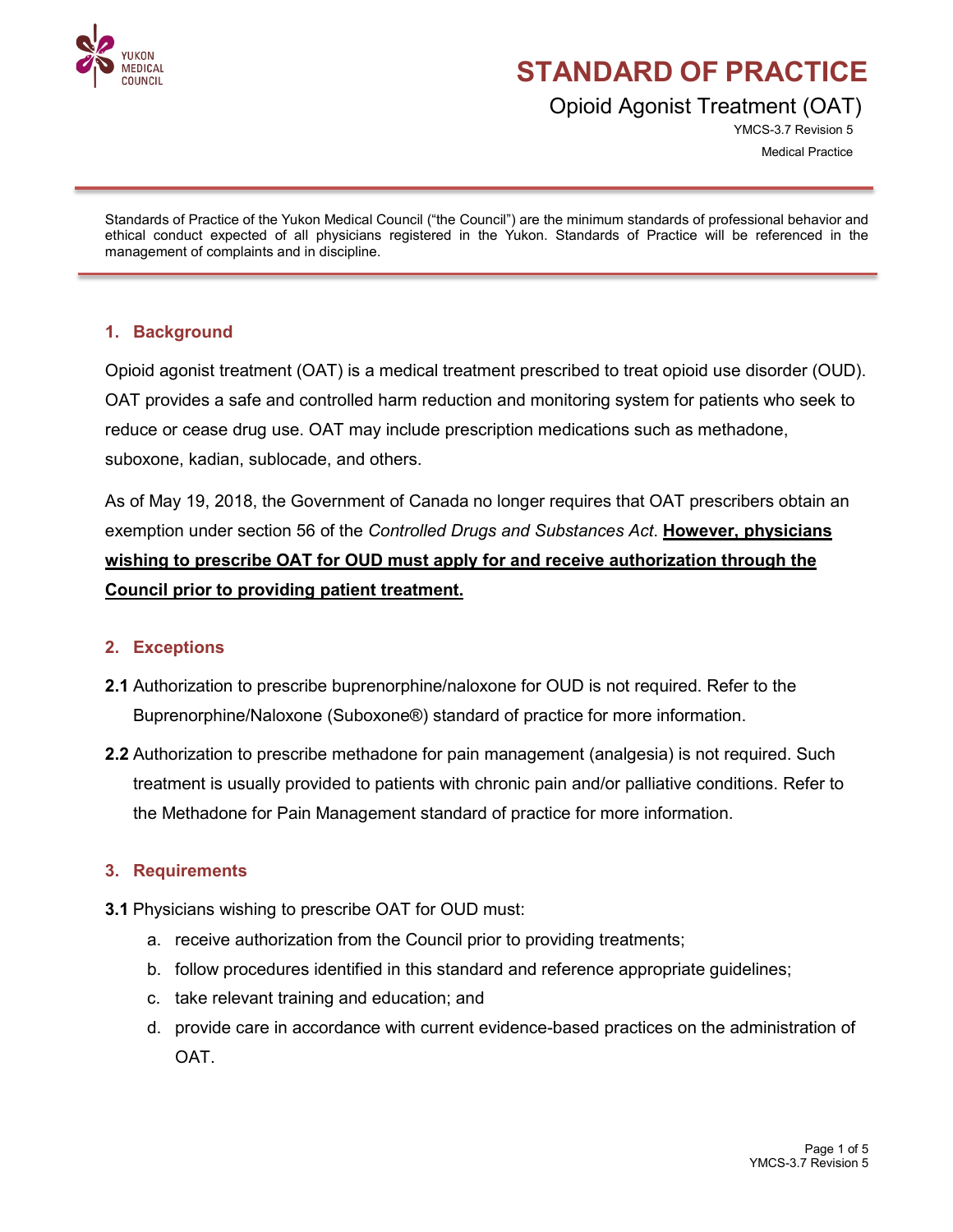

Opioid Agonist Treatment (OAT)

YMCS-3.7 Revision 5 Medical Practice

Standards of Practice of the Yukon Medical Council ("the Council") are the minimum standards of professional behavior and ethical conduct expected of all physicians registered in the Yukon. Standards of Practice will be referenced in the management of complaints and in discipline.

### **1. Background**

Opioid agonist treatment (OAT) is a medical treatment prescribed to treat opioid use disorder (OUD). OAT provides a safe and controlled harm reduction and monitoring system for patients who seek to reduce or cease drug use. OAT may include prescription medications such as methadone, suboxone, kadian, sublocade, and others.

As of May 19, 2018, the Government of Canada no longer requires that OAT prescribers obtain an exemption under section 56 of the *Controlled Drugs and Substances Act*. **However, physicians wishing to prescribe OAT for OUD must apply for and receive authorization through the Council prior to providing patient treatment.**

### **2. Exceptions**

- **2.1** Authorization to prescribe buprenorphine/naloxone for OUD is not required. Refer to the Buprenorphine/Naloxone (Suboxone®) standard of practice for more information.
- **2.2** Authorization to prescribe methadone for pain management (analgesia) is not required. Such treatment is usually provided to patients with chronic pain and/or palliative conditions. Refer to the Methadone for Pain Management standard of practice for more information.

### **3. Requirements**

- **3.1** Physicians wishing to prescribe OAT for OUD must:
	- a. receive authorization from the Council prior to providing treatments;
	- b. follow procedures identified in this standard and reference appropriate guidelines;
	- c. take relevant training and education; and
	- d. provide care in accordance with current evidence-based practices on the administration of OAT.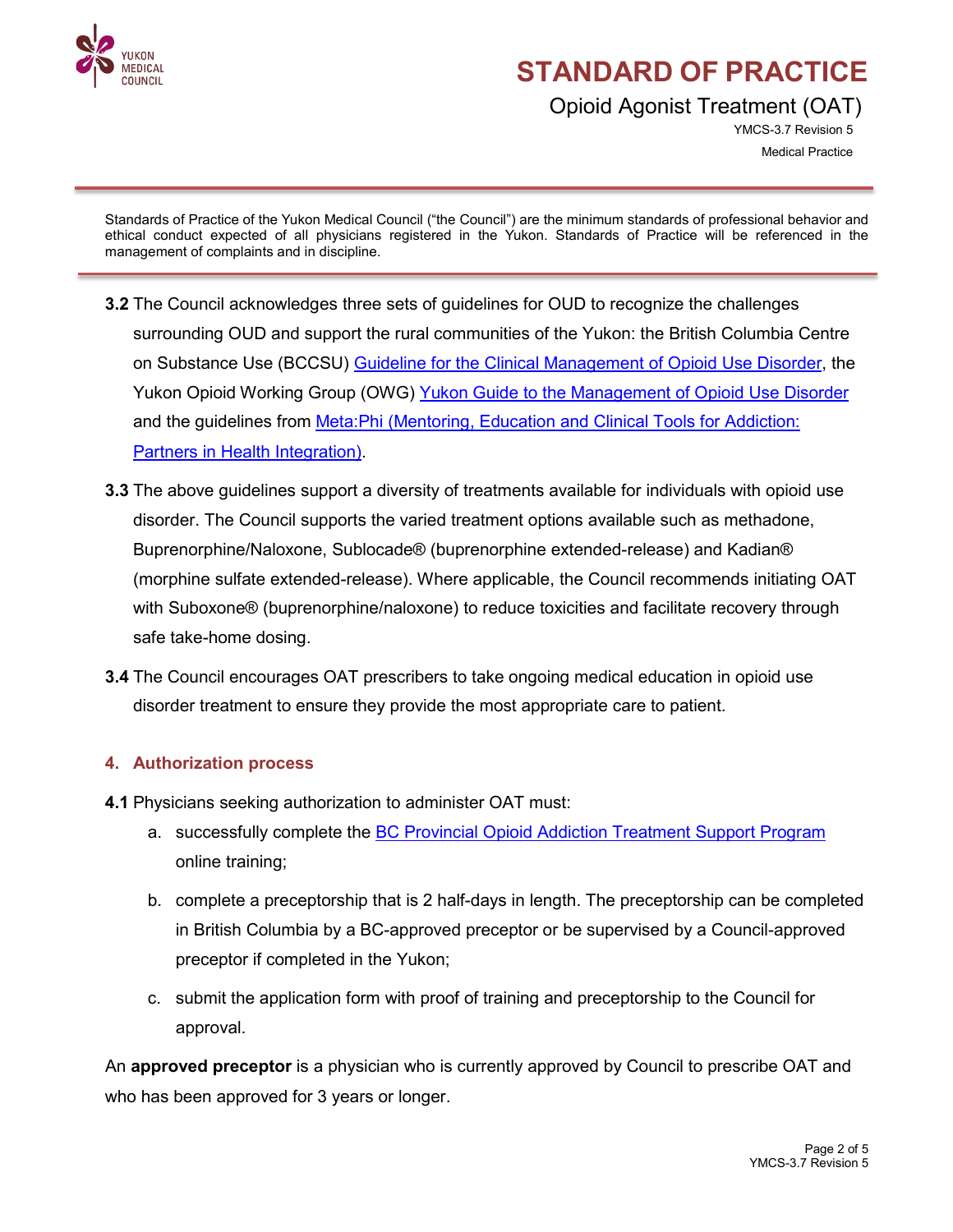

Opioid Agonist Treatment (OAT)

YMCS-3.7 Revision 5 Medical Practice

Standards of Practice of the Yukon Medical Council ("the Council") are the minimum standards of professional behavior and ethical conduct expected of all physicians registered in the Yukon. Standards of Practice will be referenced in the management of complaints and in discipline.

- **3.2** The Council acknowledges three sets of guidelines for OUD to recognize the challenges surrounding OUD and support the rural communities of the Yukon: the British Columbia Centre on Substance Use (BCCSU) [Guideline for the Clinical Management of Opioid Use Disorder,](https://www.bccsu.ca/wp-content/uploads/2017/06/BC-OUD-Guidelines_June2017.pdf) the Yukon Opioid Working Group (OWG) [Yukon Guide to the Management of Opioid Use Disorder](https://yukon.ca/sites/yukon.ca/files/hss/hss-imgs/guidemanagementofopioidusedisorder.pdf) and the guidelines from [Meta:Phi \(Mentoring, Education and Clinical Tools for Addiction:](http://www.metaphi.ca/provider-resources/guides/)  [Partners in Health Integration\).](http://www.metaphi.ca/provider-resources/guides/)
- **3.3** The above guidelines support a diversity of treatments available for individuals with opioid use disorder. The Council supports the varied treatment options available such as methadone, Buprenorphine/Naloxone, Sublocade® (buprenorphine extended-release) and Kadian® (morphine sulfate extended-release). Where applicable, the Council recommends initiating OAT with Suboxone® (buprenorphine/naloxone) to reduce toxicities and facilitate recovery through safe take-home dosing.
- **3.4** The Council encourages OAT prescribers to take ongoing medical education in opioid use disorder treatment to ensure they provide the most appropriate care to patient.

## **4. Authorization process**

- **4.1** Physicians seeking authorization to administer OAT must:
	- a. successfully complete the **BC Provincial Opioid Addiction Treatment Support Program** online training;
	- b. complete a preceptorship that is 2 half-days in length. The preceptorship can be completed in British Columbia by a BC-approved preceptor or be supervised by a Council-approved preceptor if completed in the Yukon;
	- c. submit the application form with proof of training and preceptorship to the Council for approval.

An **approved preceptor** is a physician who is currently approved by Council to prescribe OAT and who has been approved for 3 years or longer.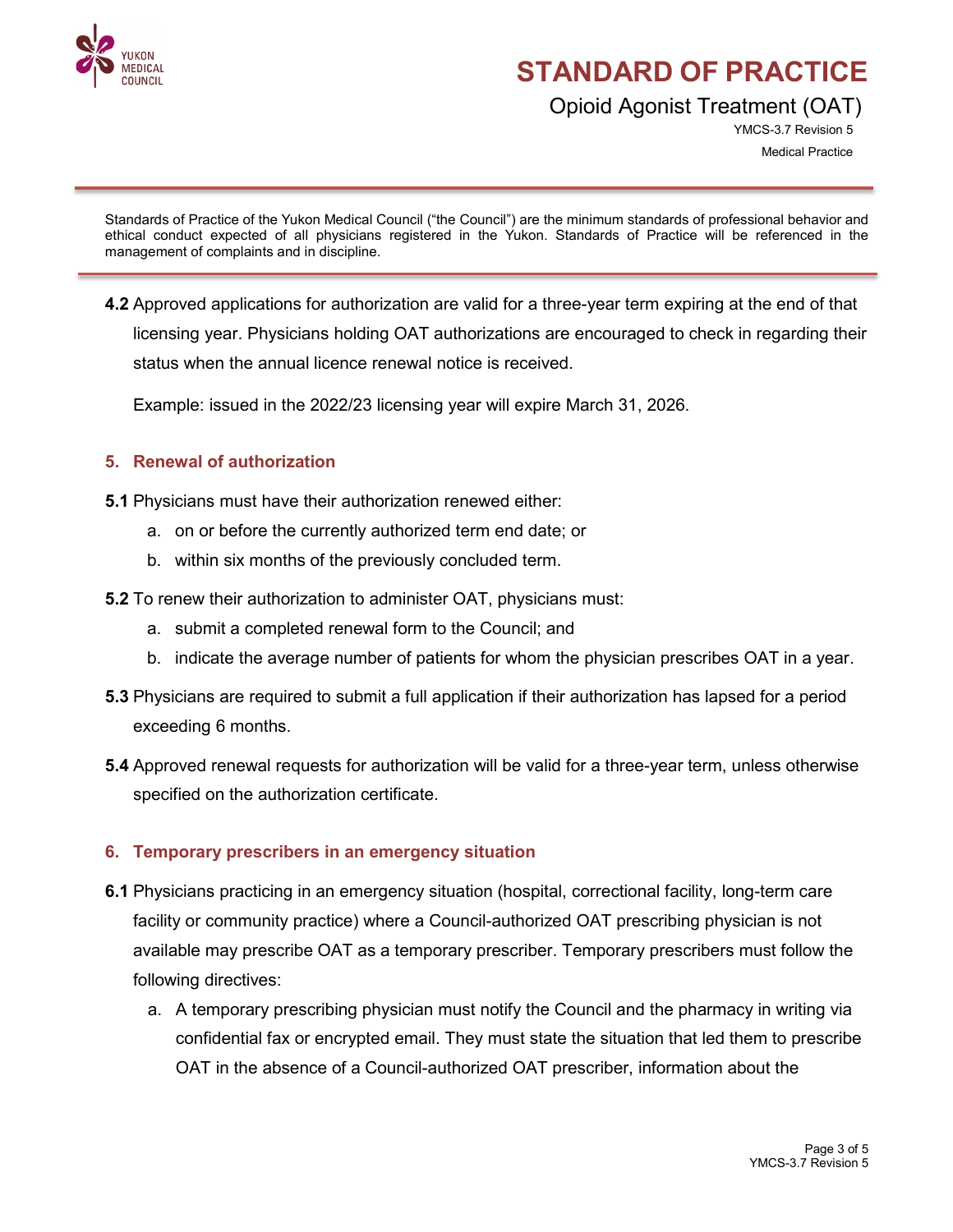

Opioid Agonist Treatment (OAT)

YMCS-3.7 Revision 5 Medical Practice

Standards of Practice of the Yukon Medical Council ("the Council") are the minimum standards of professional behavior and ethical conduct expected of all physicians registered in the Yukon. Standards of Practice will be referenced in the management of complaints and in discipline.

**4.2** Approved applications for authorization are valid for a three-year term expiring at the end of that licensing year. Physicians holding OAT authorizations are encouraged to check in regarding their status when the annual licence renewal notice is received.

Example: issued in the 2022/23 licensing year will expire March 31, 2026.

### **5. Renewal of authorization**

- **5.1** Physicians must have their authorization renewed either:
	- a. on or before the currently authorized term end date; or
	- b. within six months of the previously concluded term.
- **5.2** To renew their authorization to administer OAT, physicians must:
	- a. submit a completed renewal form to the Council; and
	- b. indicate the average number of patients for whom the physician prescribes OAT in a year.
- **5.3** Physicians are required to submit a full application if their authorization has lapsed for a period exceeding 6 months.
- **5.4** Approved renewal requests for authorization will be valid for a three-year term, unless otherwise specified on the authorization certificate.

### **6. Temporary prescribers in an emergency situation**

- **6.1** Physicians practicing in an emergency situation (hospital, correctional facility, long-term care facility or community practice) where a Council-authorized OAT prescribing physician is not available may prescribe OAT as a temporary prescriber. Temporary prescribers must follow the following directives:
	- a. A temporary prescribing physician must notify the Council and the pharmacy in writing via confidential fax or encrypted email. They must state the situation that led them to prescribe OAT in the absence of a Council-authorized OAT prescriber, information about the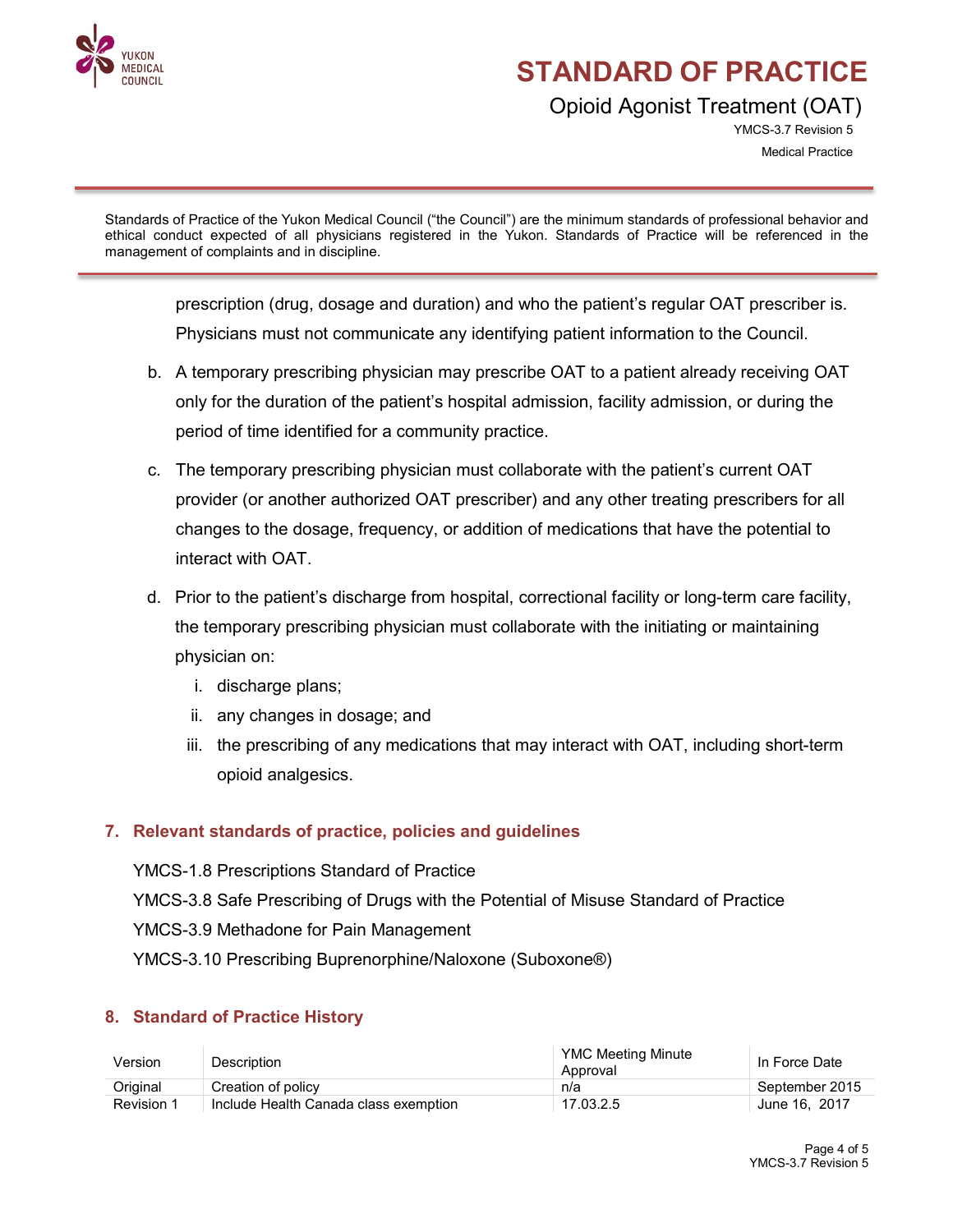

Opioid Agonist Treatment (OAT)

YMCS-3.7 Revision 5 Medical Practice

Standards of Practice of the Yukon Medical Council ("the Council") are the minimum standards of professional behavior and ethical conduct expected of all physicians registered in the Yukon. Standards of Practice will be referenced in the management of complaints and in discipline.

prescription (drug, dosage and duration) and who the patient's regular OAT prescriber is. Physicians must not communicate any identifying patient information to the Council.

- b. A temporary prescribing physician may prescribe OAT to a patient already receiving OAT only for the duration of the patient's hospital admission, facility admission, or during the period of time identified for a community practice.
- c. The temporary prescribing physician must collaborate with the patient's current OAT provider (or another authorized OAT prescriber) and any other treating prescribers for all changes to the dosage, frequency, or addition of medications that have the potential to interact with OAT.
- d. Prior to the patient's discharge from hospital, correctional facility or long-term care facility, the temporary prescribing physician must collaborate with the initiating or maintaining physician on:
	- i. discharge plans;
	- ii. any changes in dosage; and
	- iii. the prescribing of any medications that may interact with OAT, including short-term opioid analgesics.

## **7. Relevant standards of practice, policies and guidelines**

YMCS-1.8 Prescriptions Standard of Practice YMCS-3.8 Safe Prescribing of Drugs with the Potential of Misuse Standard of Practice YMCS-3.9 Methadone for Pain Management YMCS-3.10 Prescribing Buprenorphine/Naloxone (Suboxone®)

## **8. Standard of Practice History**

| Version           | Description                           | YMC Meeting Minute<br>Approval | In Force Date  |
|-------------------|---------------------------------------|--------------------------------|----------------|
| Original          | Creation of policy                    | n/a                            | September 2015 |
| <b>Revision 1</b> | Include Health Canada class exemption | 17.03.2.5                      | June 16, 2017  |